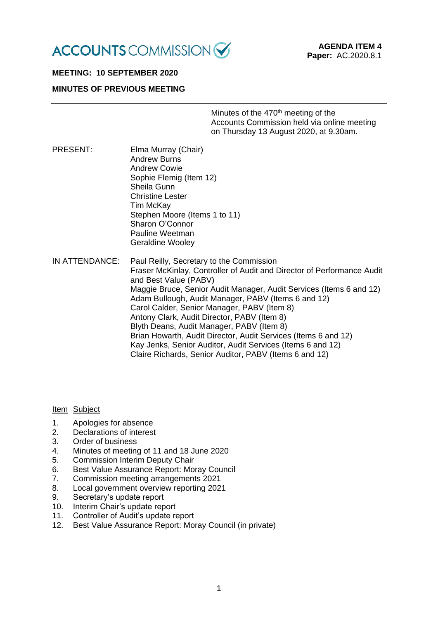

# **MEETING: 10 SEPTEMBER 2020**

# **MINUTES OF PREVIOUS MEETING**

Minutes of the 470<sup>th</sup> meeting of the Accounts Commission held via online meeting on Thursday 13 August 2020, at 9.30am.

PRESENT: Elma Murray (Chair) Andrew Burns Andrew Cowie Sophie Flemig (Item 12) Sheila Gunn Christine Lester Tim McKay Stephen Moore (Items 1 to 11) Sharon O'Connor Pauline Weetman Geraldine Wooley

IN ATTENDANCE: Paul Reilly, Secretary to the Commission Fraser McKinlay, Controller of Audit and Director of Performance Audit and Best Value (PABV) Maggie Bruce, Senior Audit Manager, Audit Services (Items 6 and 12) Adam Bullough, Audit Manager, PABV (Items 6 and 12) Carol Calder, Senior Manager, PABV (Item 8) Antony Clark, Audit Director, PABV (Item 8) Blyth Deans, Audit Manager, PABV (Item 8) Brian Howarth, Audit Director, Audit Services (Items 6 and 12) Kay Jenks, Senior Auditor, Audit Services (Items 6 and 12) Claire Richards, Senior Auditor, PABV (Items 6 and 12)

#### Item Subject

- 1. Apologies for absence
- 2. Declarations of interest
- 3. Order of business
- 4. Minutes of meeting of 11 and 18 June 2020
- 5. Commission Interim Deputy Chair
- 6. Best Value Assurance Report: Moray Council
- 7. Commission meeting arrangements 2021
- 8. Local government overview reporting 2021
- 9. Secretary's update report
- 10. Interim Chair's update report
- 11. Controller of Audit's update report
- 12. Best Value Assurance Report: Moray Council (in private)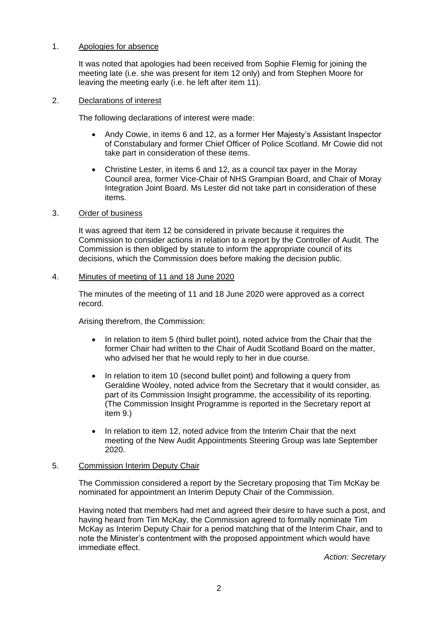### 1. Apologies for absence

It was noted that apologies had been received from Sophie Flemig for joining the meeting late (i.e. she was present for item 12 only) and from Stephen Moore for leaving the meeting early (i.e. he left after item 11).

### 2. Declarations of interest

The following declarations of interest were made:

- Andy Cowie, in items 6 and 12, as a former Her Majesty's Assistant Inspector of Constabulary and former Chief Officer of Police Scotland. Mr Cowie did not take part in consideration of these items.
- Christine Lester, in items 6 and 12, as a council tax payer in the Moray Council area, former Vice-Chair of NHS Grampian Board, and Chair of Moray Integration Joint Board. Ms Lester did not take part in consideration of these items.

### 3. Order of business

It was agreed that item 12 be considered in private because it requires the Commission to consider actions in relation to a report by the Controller of Audit. The Commission is then obliged by statute to inform the appropriate council of its decisions, which the Commission does before making the decision public.

### 4. Minutes of meeting of 11 and 18 June 2020

The minutes of the meeting of 11 and 18 June 2020 were approved as a correct record.

Arising therefrom, the Commission:

- In relation to item 5 (third bullet point), noted advice from the Chair that the former Chair had written to the Chair of Audit Scotland Board on the matter, who advised her that he would reply to her in due course.
- In relation to item 10 (second bullet point) and following a query from Geraldine Wooley, noted advice from the Secretary that it would consider, as part of its Commission Insight programme, the accessibility of its reporting. (The Commission Insight Programme is reported in the Secretary report at item 9.)
- In relation to item 12, noted advice from the Interim Chair that the next meeting of the New Audit Appointments Steering Group was late September 2020.

## 5. Commission Interim Deputy Chair

The Commission considered a report by the Secretary proposing that Tim McKay be nominated for appointment an Interim Deputy Chair of the Commission.

Having noted that members had met and agreed their desire to have such a post, and having heard from Tim McKay, the Commission agreed to formally nominate Tim McKay as Interim Deputy Chair for a period matching that of the Interim Chair, and to note the Minister's contentment with the proposed appointment which would have immediate effect.

*Action: Secretary*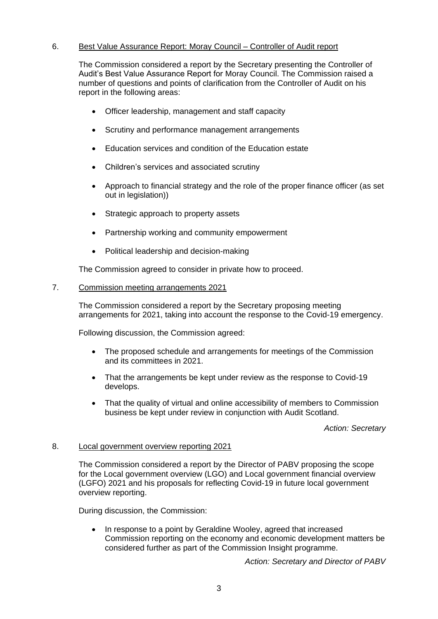# 6. Best Value Assurance Report: Moray Council – Controller of Audit report

The Commission considered a report by the Secretary presenting the Controller of Audit's Best Value Assurance Report for Moray Council. The Commission raised a number of questions and points of clarification from the Controller of Audit on his report in the following areas:

- Officer leadership, management and staff capacity
- Scrutiny and performance management arrangements
- Education services and condition of the Education estate
- Children's services and associated scrutiny
- Approach to financial strategy and the role of the proper finance officer (as set out in legislation))
- Strategic approach to property assets
- Partnership working and community empowerment
- Political leadership and decision-making

The Commission agreed to consider in private how to proceed.

### 7. Commission meeting arrangements 2021

The Commission considered a report by the Secretary proposing meeting arrangements for 2021, taking into account the response to the Covid-19 emergency.

Following discussion, the Commission agreed:

- The proposed schedule and arrangements for meetings of the Commission and its committees in 2021.
- That the arrangements be kept under review as the response to Covid-19 develops.
- That the quality of virtual and online accessibility of members to Commission business be kept under review in conjunction with Audit Scotland.

## *Action: Secretary*

#### 8. Local government overview reporting 2021

The Commission considered a report by the Director of PABV proposing the scope for the Local government overview (LGO) and Local government financial overview (LGFO) 2021 and his proposals for reflecting Covid-19 in future local government overview reporting.

During discussion, the Commission:

• In response to a point by Geraldine Wooley, agreed that increased Commission reporting on the economy and economic development matters be considered further as part of the Commission Insight programme.

*Action: Secretary and Director of PABV*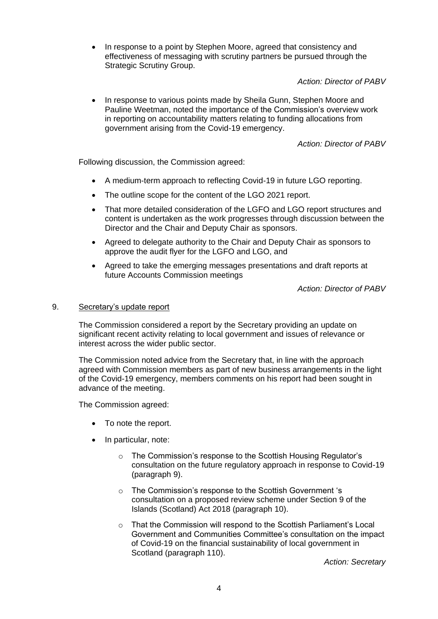• In response to a point by Stephen Moore, agreed that consistency and effectiveness of messaging with scrutiny partners be pursued through the Strategic Scrutiny Group.

*Action: Director of PABV* 

• In response to various points made by Sheila Gunn, Stephen Moore and Pauline Weetman, noted the importance of the Commission's overview work in reporting on accountability matters relating to funding allocations from government arising from the Covid-19 emergency.

*Action: Director of PABV* 

Following discussion, the Commission agreed:

- A medium-term approach to reflecting Covid-19 in future LGO reporting.
- The outline scope for the content of the LGO 2021 report.
- That more detailed consideration of the LGFO and LGO report structures and content is undertaken as the work progresses through discussion between the Director and the Chair and Deputy Chair as sponsors.
- Agreed to delegate authority to the Chair and Deputy Chair as sponsors to approve the audit flyer for the LGFO and LGO, and
- Agreed to take the emerging messages presentations and draft reports at future Accounts Commission meetings

*Action: Director of PABV* 

#### 9. Secretary's update report

The Commission considered a report by the Secretary providing an update on significant recent activity relating to local government and issues of relevance or interest across the wider public sector.

The Commission noted advice from the Secretary that, in line with the approach agreed with Commission members as part of new business arrangements in the light of the Covid-19 emergency, members comments on his report had been sought in advance of the meeting.

The Commission agreed:

- To note the report.
- In particular, note:
	- o The Commission's response to the Scottish Housing Regulator's consultation on the future regulatory approach in response to Covid-19 (paragraph 9).
	- o The Commission's response to the Scottish Government 's consultation on a proposed review scheme under Section 9 of the Islands (Scotland) Act 2018 (paragraph 10).
	- o That the Commission will respond to the Scottish Parliament's Local Government and Communities Committee's consultation on the impact of Covid-19 on the financial sustainability of local government in Scotland (paragraph 110).

*Action: Secretary*